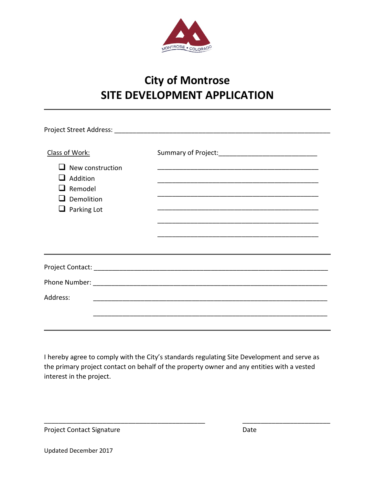

# **City of Montrose SITE DEVELOPMENT APPLICATION**

| Class of Work:<br>$\Box$ New construction<br>Addition<br>Remodel<br>$\Box$ Demolition<br>$\Box$ Parking Lot |  |
|-------------------------------------------------------------------------------------------------------------|--|
| Address:                                                                                                    |  |
|                                                                                                             |  |

I hereby agree to comply with the City's standards regulating Site Development and serve as the primary project contact on behalf of the property owner and any entities with a vested interest in the project.

\_\_\_\_\_\_\_\_\_\_\_\_\_\_\_\_\_\_\_\_\_\_\_\_\_\_\_\_\_\_\_\_\_\_\_\_\_\_\_\_\_\_\_\_ \_\_\_\_\_\_\_\_\_\_\_\_\_\_\_\_\_\_\_\_\_\_\_\_

Project Contact Signature **Date** Date

Updated December 2017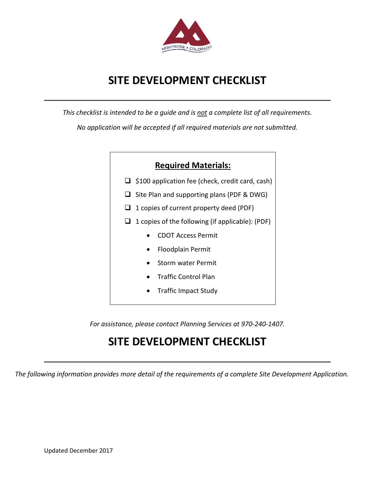

# **SITE DEVELOPMENT CHECKLIST**

*This checklist is intended to be a guide and is not a complete list of all requirements. No application will be accepted if all required materials are not submitted.*



*For assistance, please contact Planning Services at 970-240-1407.*

# **SITE DEVELOPMENT CHECKLIST**

*The following information provides more detail of the requirements of a complete Site Development Application.*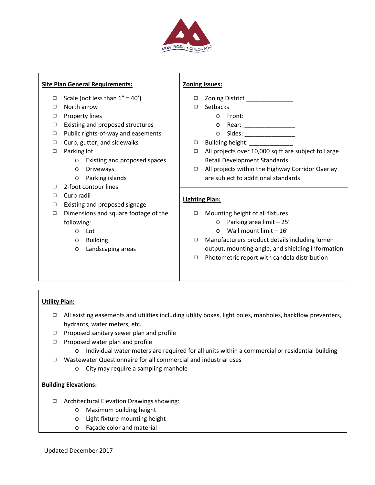

|        | <b>Site Plan General Requirements:</b>  |                       | <b>Zoning Issues:</b>                                                                                                                                                                                                          |
|--------|-----------------------------------------|-----------------------|--------------------------------------------------------------------------------------------------------------------------------------------------------------------------------------------------------------------------------|
| $\Box$ | Scale (not less than $1'' = 40'$ )      | $\Box$                | Zoning District _______________                                                                                                                                                                                                |
| □      | North arrow                             | $\Box$                | Setbacks                                                                                                                                                                                                                       |
| □      | Property lines                          |                       | Front: _________________<br>$\circ$                                                                                                                                                                                            |
| □      | Existing and proposed structures        |                       | o Rear: __________________                                                                                                                                                                                                     |
| $\Box$ | Public rights-of-way and easements      |                       | Sides: _________________<br>$\circ$                                                                                                                                                                                            |
| □      | Curb, gutter, and sidewalks             | $\Box$                | Building height: National Property of the Contract of the Contract of the Contract of the Contract of the Contract of the Contract of the Contract of the Contract of the Contract of the Contract of the Contract of the Cont |
| □      | Parking lot                             | $\Box$                | All projects over 10,000 sq ft are subject to Large                                                                                                                                                                            |
|        | Existing and proposed spaces<br>$\circ$ |                       | <b>Retail Development Standards</b>                                                                                                                                                                                            |
|        | Driveways<br>$\circ$                    | $\Box$                | All projects within the Highway Corridor Overlay                                                                                                                                                                               |
|        | Parking islands<br>$\circ$              |                       | are subject to additional standards                                                                                                                                                                                            |
| □      | 2-foot contour lines                    |                       |                                                                                                                                                                                                                                |
| $\Box$ | Curb radii                              | <b>Lighting Plan:</b> |                                                                                                                                                                                                                                |
| $\Box$ | Existing and proposed signage           |                       |                                                                                                                                                                                                                                |
| $\Box$ | Dimensions and square footage of the    | $\Box$                | Mounting height of all fixtures                                                                                                                                                                                                |
|        | following:                              |                       | $\circ$ Parking area limit - 25'                                                                                                                                                                                               |
|        | Lot<br>$\Omega$                         |                       | Wall mount limit - 16'<br>$\Omega$                                                                                                                                                                                             |
|        | <b>Building</b><br>$\circ$              | □                     | Manufacturers product details including lumen                                                                                                                                                                                  |
|        | Landscaping areas<br>$\circ$            |                       | output, mounting angle, and shielding information                                                                                                                                                                              |
|        |                                         | $\Box$                | Photometric report with candela distribution                                                                                                                                                                                   |
|        |                                         |                       |                                                                                                                                                                                                                                |

### **Utility Plan:**

- $\Box$  All existing easements and utilities including utility boxes, light poles, manholes, backflow preventers, hydrants, water meters, etc.
- $\Box$  Proposed sanitary sewer plan and profile
- $\Box$  Proposed water plan and profile
	- o Individual water meters are required for all units within a commercial or residential building
- Wastewater Questionnaire for all commercial and industrial uses
	- o City may require a sampling manhole

### **Building Elevations:**

- □ Architectural Elevation Drawings showing:
	- o Maximum building height
	- o Light fixture mounting height
	- o Façade color and material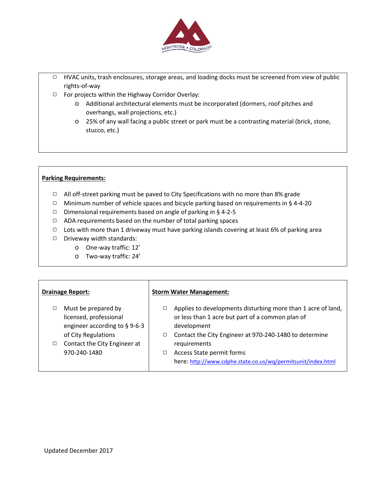

- $\Box$  HVAC units, trash enclosures, storage areas, and loading docks must be screened from view of public rights-of-way
- $\Box$  For projects within the Highway Corridor Overlay:
	- o Additional architectural elements must be incorporated (dormers, roof pitches and overhangs, wall projections, etc.)
	- o 25% of any wall facing a public street or park must be a contrasting material (brick, stone, stucco, etc.)

#### **Parking Requirements:**

- $\Box$  All off-street parking must be paved to City Specifications with no more than 8% grade
- $\Box$  Minimum number of vehicle spaces and bicycle parking based on requirements in § 4-4-20
- $\Box$  Dimensional requirements based on angle of parking in § 4-2-5
- $\Box$  ADA requirements based on the number of total parking spaces
- $\Box$  Lots with more than 1 driveway must have parking islands covering at least 6% of parking area
- $\square$  Driveway width standards:
	- o One-way traffic: 12'
	- o Two-way traffic: 24'

| <b>Drainage Report:</b> |                                                                                                          | <b>Storm Water Management:</b> |                                                                                                                                                                                           |  |
|-------------------------|----------------------------------------------------------------------------------------------------------|--------------------------------|-------------------------------------------------------------------------------------------------------------------------------------------------------------------------------------------|--|
|                         | Must be prepared by<br>licensed, professional<br>engineer according to $\S$ 9-6-3<br>of City Regulations | □<br>□                         | Applies to developments disturbing more than 1 acre of land,<br>or less than 1 acre but part of a common plan of<br>development<br>Contact the City Engineer at 970-240-1480 to determine |  |
| □                       | Contact the City Engineer at<br>970-240-1480                                                             | □                              | requirements<br>Access State permit forms<br>here: http://www.cdphe.state.co.us/wq/permitsunit/index.html                                                                                 |  |